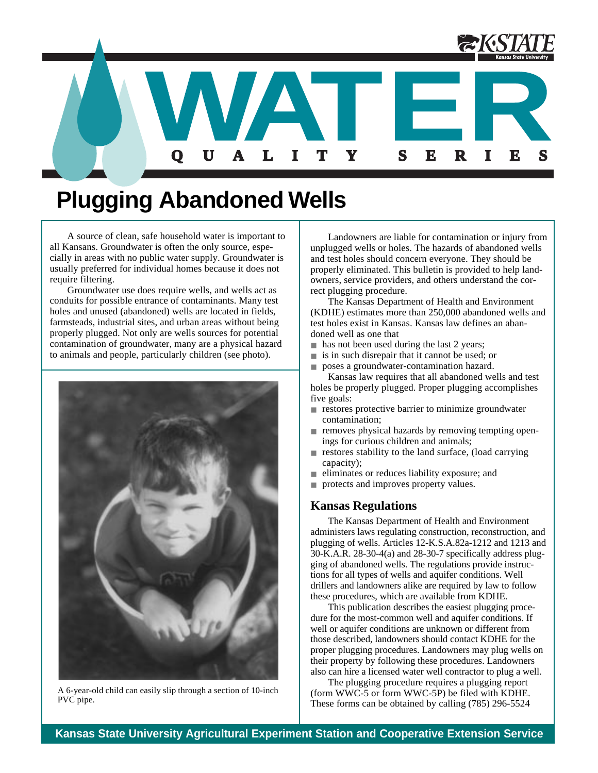

# **Plugging Abandoned Wells**

A source of clean, safe household water is important to all Kansans. Groundwater is often the only source, especially in areas with no public water supply. Groundwater is usually preferred for individual homes because it does not require filtering.

Groundwater use does require wells, and wells act as conduits for possible entrance of contaminants. Many test holes and unused (abandoned) wells are located in fields, farmsteads, industrial sites, and urban areas without being properly plugged. Not only are wells sources for potential contamination of groundwater, many are a physical hazard to animals and people, particularly children (see photo).



A 6-year-old child can easily slip through a section of 10-inch PVC pipe.

Landowners are liable for contamination or injury from unplugged wells or holes. The hazards of abandoned wells and test holes should concern everyone. They should be properly eliminated. This bulletin is provided to help landowners, service providers, and others understand the correct plugging procedure.

The Kansas Department of Health and Environment (KDHE) estimates more than 250,000 abandoned wells and test holes exist in Kansas. Kansas law defines an abandoned well as one that

- has not been used during the last 2 years;
- is in such disrepair that it cannot be used; or
- poses a groundwater-contamination hazard.

Kansas law requires that all abandoned wells and test holes be properly plugged. Proper plugging accomplishes five goals:

- restores protective barrier to minimize groundwater contamination;
- removes physical hazards by removing tempting openings for curious children and animals;
- restores stability to the land surface, (load carrying capacity);
- eliminates or reduces liability exposure; and
- protects and improves property values.

## **Kansas Regulations**

The Kansas Department of Health and Environment administers laws regulating construction, reconstruction, and plugging of wells. Articles 12-K.S.A.82a-1212 and 1213 and 30-K.A.R. 28-30-4(a) and 28-30-7 specifically address plugging of abandoned wells. The regulations provide instructions for all types of wells and aquifer conditions. Well drillers and landowners alike are required by law to follow these procedures, which are available from KDHE.

This publication describes the easiest plugging procedure for the most-common well and aquifer conditions. If well or aquifer conditions are unknown or different from those described, landowners should contact KDHE for the proper plugging procedures. Landowners may plug wells on their property by following these procedures. Landowners also can hire a licensed water well contractor to plug a well.

The plugging procedure requires a plugging report (form WWC-5 or form WWC-5P) be filed with KDHE. These forms can be obtained by calling (785) 296-5524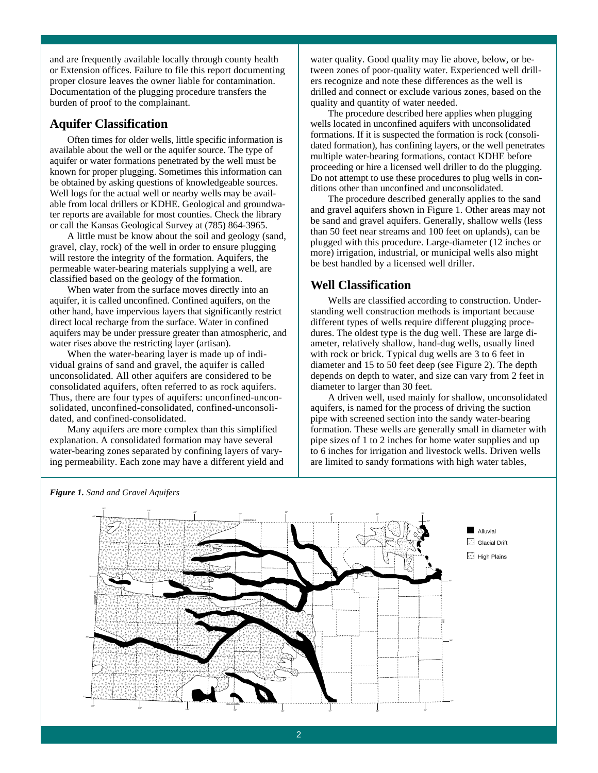and are frequently available locally through county health or Extension offices. Failure to file this report documenting proper closure leaves the owner liable for contamination. Documentation of the plugging procedure transfers the burden of proof to the complainant.

# **Aquifer Classification**

Often times for older wells, little specific information is available about the well or the aquifer source. The type of aquifer or water formations penetrated by the well must be known for proper plugging. Sometimes this information can be obtained by asking questions of knowledgeable sources. Well logs for the actual well or nearby wells may be available from local drillers or KDHE. Geological and groundwater reports are available for most counties. Check the library or call the Kansas Geological Survey at (785) 864-3965.

A little must be know about the soil and geology (sand, gravel, clay, rock) of the well in order to ensure plugging will restore the integrity of the formation. Aquifers, the permeable water-bearing materials supplying a well, are classified based on the geology of the formation.

When water from the surface moves directly into an aquifer, it is called unconfined. Confined aquifers, on the other hand, have impervious layers that significantly restrict direct local recharge from the surface. Water in confined aquifers may be under pressure greater than atmospheric, and water rises above the restricting layer (artisan).

When the water-bearing layer is made up of individual grains of sand and gravel, the aquifer is called unconsolidated. All other aquifers are considered to be consolidated aquifers, often referred to as rock aquifers. Thus, there are four types of aquifers: unconfined-unconsolidated, unconfined-consolidated, confined-unconsolidated, and confined-consolidated.

Many aquifers are more complex than this simplified explanation. A consolidated formation may have several water-bearing zones separated by confining layers of varying permeability. Each zone may have a different yield and water quality. Good quality may lie above, below, or between zones of poor-quality water. Experienced well drillers recognize and note these differences as the well is drilled and connect or exclude various zones, based on the quality and quantity of water needed.

The procedure described here applies when plugging wells located in unconfined aquifers with unconsolidated formations. If it is suspected the formation is rock (consolidated formation), has confining layers, or the well penetrates multiple water-bearing formations, contact KDHE before proceeding or hire a licensed well driller to do the plugging. Do not attempt to use these procedures to plug wells in conditions other than unconfined and unconsolidated.

The procedure described generally applies to the sand and gravel aquifers shown in Figure 1. Other areas may not be sand and gravel aquifers. Generally, shallow wells (less than 50 feet near streams and 100 feet on uplands), can be plugged with this procedure. Large-diameter (12 inches or more) irrigation, industrial, or municipal wells also might be best handled by a licensed well driller.

# **Well Classification**

Wells are classified according to construction. Understanding well construction methods is important because different types of wells require different plugging procedures. The oldest type is the dug well. These are large diameter, relatively shallow, hand-dug wells, usually lined with rock or brick. Typical dug wells are 3 to 6 feet in diameter and 15 to 50 feet deep (see Figure 2). The depth depends on depth to water, and size can vary from 2 feet in diameter to larger than 30 feet.

A driven well, used mainly for shallow, unconsolidated aquifers, is named for the process of driving the suction pipe with screened section into the sandy water-bearing formation. These wells are generally small in diameter with pipe sizes of 1 to 2 inches for home water supplies and up to 6 inches for irrigation and livestock wells. Driven wells are limited to sandy formations with high water tables,



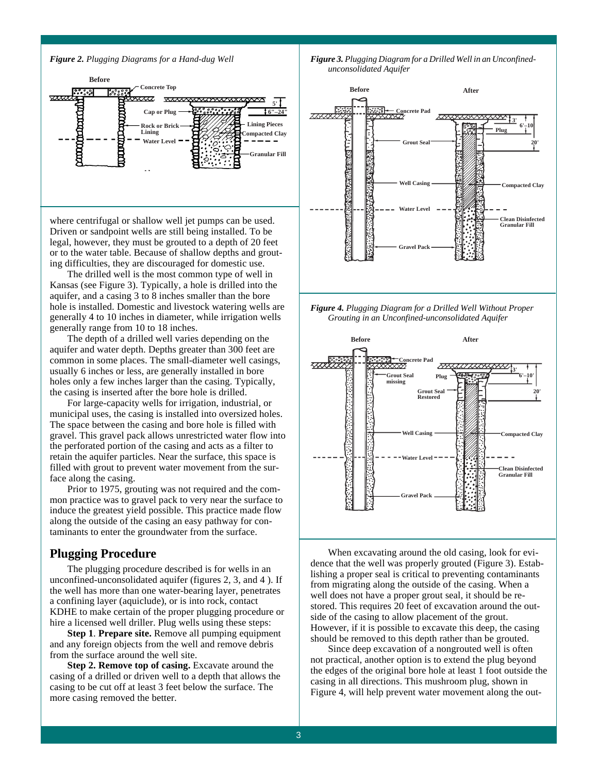

where centrifugal or shallow well jet pumps can be used. Driven or sandpoint wells are still being installed. To be legal, however, they must be grouted to a depth of 20 feet or to the water table. Because of shallow depths and grouting difficulties, they are discouraged for domestic use.

The drilled well is the most common type of well in Kansas (see Figure 3). Typically, a hole is drilled into the aquifer, and a casing 3 to 8 inches smaller than the bore hole is installed. Domestic and livestock watering wells are generally 4 to 10 inches in diameter, while irrigation wells generally range from 10 to 18 inches.

The depth of a drilled well varies depending on the aquifer and water depth. Depths greater than 300 feet are common in some places. The small-diameter well casings, usually 6 inches or less, are generally installed in bore holes only a few inches larger than the casing. Typically, the casing is inserted after the bore hole is drilled.

For large-capacity wells for irrigation, industrial, or municipal uses, the casing is installed into oversized holes. The space between the casing and bore hole is filled with gravel. This gravel pack allows unrestricted water flow into the perforated portion of the casing and acts as a filter to retain the aquifer particles. Near the surface, this space is filled with grout to prevent water movement from the surface along the casing.

Prior to 1975, grouting was not required and the common practice was to gravel pack to very near the surface to induce the greatest yield possible. This practice made flow along the outside of the casing an easy pathway for contaminants to enter the groundwater from the surface.

### **Plugging Procedure**

The plugging procedure described is for wells in an unconfined-unconsolidated aquifer (figures 2, 3, and 4 ). If the well has more than one water-bearing layer, penetrates a confining layer (aquiclude), or is into rock, contact KDHE to make certain of the proper plugging procedure or hire a licensed well driller. Plug wells using these steps:

**Step 1**. **Prepare site.** Remove all pumping equipment and any foreign objects from the well and remove debris from the surface around the well site.

**Step 2. Remove top of casing.** Excavate around the casing of a drilled or driven well to a depth that allows the casing to be cut off at least 3 feet below the surface. The more casing removed the better.

*Figure 2. Plugging Diagrams for a Hand-dug Well Figure 3. Plugging Diagram for a Drilled Well in an Unconfinedunconsolidated Aquifer*



*Figure 4. Plugging Diagram for a Drilled Well Without Proper Grouting in an Unconfined-unconsolidated Aquifer*



When excavating around the old casing, look for evidence that the well was properly grouted (Figure 3). Establishing a proper seal is critical to preventing contaminants from migrating along the outside of the casing. When a well does not have a proper grout seal, it should be restored. This requires 20 feet of excavation around the outside of the casing to allow placement of the grout. However, if it is possible to excavate this deep, the casing should be removed to this depth rather than be grouted.

Since deep excavation of a nongrouted well is often not practical, another option is to extend the plug beyond the edges of the original bore hole at least 1 foot outside the casing in all directions. This mushroom plug, shown in Figure 4, will help prevent water movement along the out-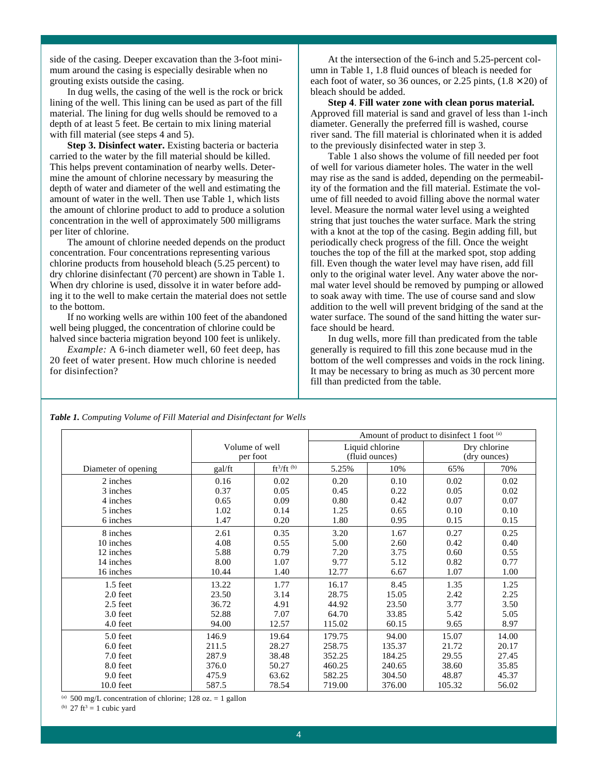side of the casing. Deeper excavation than the 3-foot minimum around the casing is especially desirable when no grouting exists outside the casing.

In dug wells, the casing of the well is the rock or brick lining of the well. This lining can be used as part of the fill material. The lining for dug wells should be removed to a depth of at least 5 feet. Be certain to mix lining material with fill material (see steps 4 and 5).

**Step 3. Disinfect water.** Existing bacteria or bacteria carried to the water by the fill material should be killed. This helps prevent contamination of nearby wells. Determine the amount of chlorine necessary by measuring the depth of water and diameter of the well and estimating the amount of water in the well. Then use Table 1, which lists the amount of chlorine product to add to produce a solution concentration in the well of approximately 500 milligrams per liter of chlorine.

The amount of chlorine needed depends on the product concentration. Four concentrations representing various chlorine products from household bleach (5.25 percent) to dry chlorine disinfectant (70 percent) are shown in Table 1. When dry chlorine is used, dissolve it in water before adding it to the well to make certain the material does not settle to the bottom.

If no working wells are within 100 feet of the abandoned well being plugged, the concentration of chlorine could be halved since bacteria migration beyond 100 feet is unlikely.

*Example:* A 6-inch diameter well, 60 feet deep, has 20 feet of water present. How much chlorine is needed for disinfection?

At the intersection of the 6-inch and 5.25-percent column in Table 1, 1.8 fluid ounces of bleach is needed for each foot of water, so 36 ounces, or 2.25 pints,  $(1.8 \times 20)$  of bleach should be added.

**Step 4**. **Fill water zone with clean porus material.** Approved fill material is sand and gravel of less than 1-inch diameter. Generally the preferred fill is washed, course river sand. The fill material is chlorinated when it is added to the previously disinfected water in step 3.

Table 1 also shows the volume of fill needed per foot of well for various diameter holes. The water in the well may rise as the sand is added, depending on the permeability of the formation and the fill material. Estimate the volume of fill needed to avoid filling above the normal water level. Measure the normal water level using a weighted string that just touches the water surface. Mark the string with a knot at the top of the casing. Begin adding fill, but periodically check progress of the fill. Once the weight touches the top of the fill at the marked spot, stop adding fill. Even though the water level may have risen, add fill only to the original water level. Any water above the normal water level should be removed by pumping or allowed to soak away with time. The use of course sand and slow addition to the well will prevent bridging of the sand at the water surface. The sound of the sand hitting the water surface should be heard.

In dug wells, more fill than predicated from the table generally is required to fill this zone because mud in the bottom of the well compresses and voids in the rock lining. It may be necessary to bring as much as 30 percent more fill than predicted from the table.

|                     |                | Amount of product to disinfect 1 foot (a) |                 |        |              |       |
|---------------------|----------------|-------------------------------------------|-----------------|--------|--------------|-------|
|                     | Volume of well |                                           | Liquid chlorine |        | Dry chlorine |       |
|                     | per foot       |                                           | (fluid ounces)  |        | (dry ounces) |       |
| Diameter of opening | gal/ft         | $ft^3/ft^{(b)}$                           | 5.25%           | 10%    | 65%          | 70%   |
| 2 inches            | 0.16           | 0.02                                      | 0.20            | 0.10   | 0.02         | 0.02  |
| 3 inches            | 0.37           | 0.05                                      | 0.45            | 0.22   | 0.05         | 0.02  |
| 4 inches            | 0.65           | 0.09                                      | 0.80            | 0.42   | 0.07         | 0.07  |
| 5 inches            | 1.02           | 0.14                                      | 1.25            | 0.65   | 0.10         | 0.10  |
| 6 inches            | 1.47           | 0.20                                      | 1.80            | 0.95   | 0.15         | 0.15  |
| 8 inches            | 2.61           | 0.35                                      | 3.20            | 1.67   | 0.27         | 0.25  |
| 10 inches           | 4.08           | 0.55                                      | 5.00            | 2.60   | 0.42         | 0.40  |
| 12 inches           | 5.88           | 0.79                                      | 7.20            | 3.75   | 0.60         | 0.55  |
| 14 inches           | 8.00           | 1.07                                      | 9.77            | 5.12   | 0.82         | 0.77  |
| 16 inches           | 10.44          | 1.40                                      | 12.77           | 6.67   | 1.07         | 1.00  |
| $1.5$ feet          | 13.22          | 1.77                                      | 16.17           | 8.45   | 1.35         | 1.25  |
| 2.0 feet            | 23.50          | 3.14                                      | 28.75           | 15.05  | 2.42         | 2.25  |
| $2.5$ feet          | 36.72          | 4.91                                      | 44.92           | 23.50  | 3.77         | 3.50  |
| $3.0$ feet          | 52.88          | 7.07                                      | 64.70           | 33.85  | 5.42         | 5.05  |
| 4.0 feet            | 94.00          | 12.57                                     | 115.02          | 60.15  | 9.65         | 8.97  |
| 5.0 feet            | 146.9          | 19.64                                     | 179.75          | 94.00  | 15.07        | 14.00 |
| 6.0 feet            | 211.5          | 28.27                                     | 258.75          | 135.37 | 21.72        | 20.17 |
| 7.0 feet            | 287.9          | 38.48                                     | 352.25          | 184.25 | 29.55        | 27.45 |
| 8.0 feet            | 376.0          | 50.27                                     | 460.25          | 240.65 | 38.60        | 35.85 |
| 9.0 feet            | 475.9          | 63.62                                     | 582.25          | 304.50 | 48.87        | 45.37 |
| $10.0$ feet         | 587.5          | 78.54                                     | 719.00          | 376.00 | 105.32       | 56.02 |

*Table 1. Computing Volume of Fill Material and Disinfectant for Wells*

(a) 500 mg/L concentration of chlorine; 128 oz. = 1 gallon

(b) 27 ft<sup>3</sup> = 1 cubic yard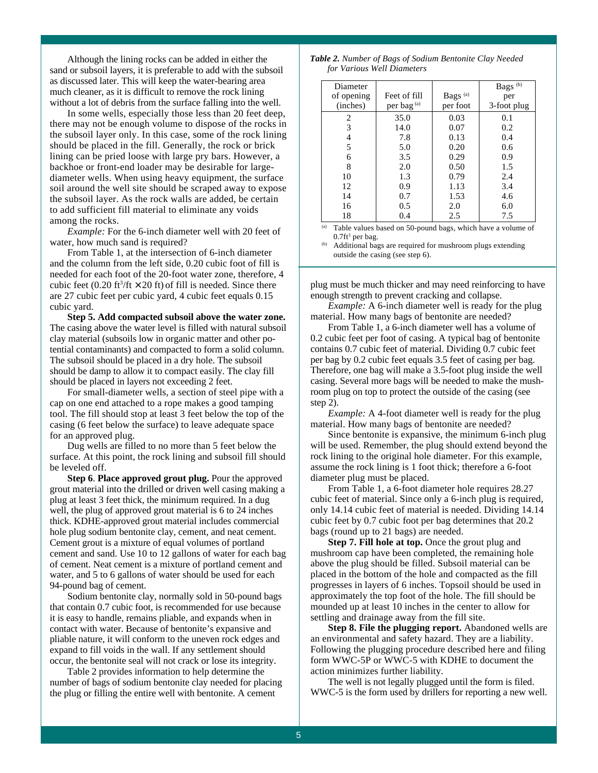Although the lining rocks can be added in either the sand or subsoil layers, it is preferable to add with the subsoil as discussed later. This will keep the water-bearing area much cleaner, as it is difficult to remove the rock lining without a lot of debris from the surface falling into the well.

In some wells, especially those less than 20 feet deep, there may not be enough volume to dispose of the rocks in the subsoil layer only. In this case, some of the rock lining should be placed in the fill. Generally, the rock or brick lining can be pried loose with large pry bars. However, a backhoe or front-end loader may be desirable for largediameter wells. When using heavy equipment, the surface soil around the well site should be scraped away to expose the subsoil layer. As the rock walls are added, be certain to add sufficient fill material to eliminate any voids among the rocks.

*Example:* For the 6-inch diameter well with 20 feet of water, how much sand is required?

From Table 1, at the intersection of 6-inch diameter and the column from the left side, 0.20 cubic foot of fill is needed for each foot of the 20-foot water zone, therefore, 4 cubic feet  $(0.20 \text{ ft}^3/\text{ft} \times 20 \text{ ft})$  of fill is needed. Since there are 27 cubic feet per cubic yard, 4 cubic feet equals 0.15 cubic yard.

**Step 5. Add compacted subsoil above the water zone.** The casing above the water level is filled with natural subsoil clay material (subsoils low in organic matter and other potential contaminants) and compacted to form a solid column. The subsoil should be placed in a dry hole. The subsoil should be damp to allow it to compact easily. The clay fill should be placed in layers not exceeding 2 feet.

For small-diameter wells, a section of steel pipe with a cap on one end attached to a rope makes a good tamping tool. The fill should stop at least 3 feet below the top of the casing (6 feet below the surface) to leave adequate space for an approved plug.

Dug wells are filled to no more than 5 feet below the surface. At this point, the rock lining and subsoil fill should be leveled off.

**Step 6**. **Place approved grout plug.** Pour the approved grout material into the drilled or driven well casing making a plug at least 3 feet thick, the minimum required. In a dug well, the plug of approved grout material is 6 to 24 inches thick. KDHE-approved grout material includes commercial hole plug sodium bentonite clay, cement, and neat cement. Cement grout is a mixture of equal volumes of portland cement and sand. Use 10 to 12 gallons of water for each bag of cement. Neat cement is a mixture of portland cement and water, and 5 to 6 gallons of water should be used for each 94-pound bag of cement.

Sodium bentonite clay, normally sold in 50-pound bags that contain 0.7 cubic foot, is recommended for use because it is easy to handle, remains pliable, and expands when in contact with water. Because of bentonite's expansive and pliable nature, it will conform to the uneven rock edges and expand to fill voids in the wall. If any settlement should occur, the bentonite seal will not crack or lose its integrity.

Table 2 provides information to help determine the number of bags of sodium bentonite clay needed for placing the plug or filling the entire well with bentonite. A cement

*Table 2. Number of Bags of Sodium Bentonite Clay Needed for Various Well Diameters*

| Diameter<br>of opening<br>(inches) | Feet of fill<br>per bag <sup>(a)</sup> | Bags <sup>(a)</sup><br>per foot | Bags <sup>(b)</sup><br>per<br>3-foot plug |
|------------------------------------|----------------------------------------|---------------------------------|-------------------------------------------|
| 2                                  | 35.0                                   | 0.03                            | 0.1                                       |
| 3                                  | 14.0                                   | 0.07                            | 0.2                                       |
| 4                                  | 7.8                                    | 0.13                            | 0.4                                       |
| 5                                  | 5.0                                    | 0.20                            | 0.6                                       |
| 6                                  | 3.5                                    | 0.29                            | 0.9                                       |
| 8                                  | 2.0                                    | 0.50                            | 1.5                                       |
| 10                                 | 1.3                                    | 0.79                            | 2.4                                       |
| 12                                 | 0.9                                    | 1.13                            | 3.4                                       |
| 14                                 | 0.7                                    | 1.53                            | 4.6                                       |
| 16                                 | 0.5                                    | 2.0                             | 6.0                                       |
| 18                                 | 0.4                                    | 2.5                             | 7.5                                       |

(a) Table values based on 50-pound bags, which have a volume of  $0.7$ ft<sup>3</sup> per bag.

(b) Additional bags are required for mushroom plugs extending outside the casing (see step 6).

plug must be much thicker and may need reinforcing to have enough strength to prevent cracking and collapse.

*Example:* A 6-inch diameter well is ready for the plug material. How many bags of bentonite are needed?

From Table 1, a 6-inch diameter well has a volume of 0.2 cubic feet per foot of casing. A typical bag of bentonite contains 0.7 cubic feet of material. Dividing 0.7 cubic feet per bag by 0.2 cubic feet equals 3.5 feet of casing per bag. Therefore, one bag will make a 3.5-foot plug inside the well casing. Several more bags will be needed to make the mushroom plug on top to protect the outside of the casing (see step 2).

*Example:* A 4-foot diameter well is ready for the plug material. How many bags of bentonite are needed?

Since bentonite is expansive, the minimum 6-inch plug will be used. Remember, the plug should extend beyond the rock lining to the original hole diameter. For this example, assume the rock lining is 1 foot thick; therefore a 6-foot diameter plug must be placed.

From Table 1, a 6-foot diameter hole requires 28.27 cubic feet of material. Since only a 6-inch plug is required, only 14.14 cubic feet of material is needed. Dividing 14.14 cubic feet by 0.7 cubic foot per bag determines that 20.2 bags (round up to 21 bags) are needed.

**Step 7. Fill hole at top.** Once the grout plug and mushroom cap have been completed, the remaining hole above the plug should be filled. Subsoil material can be placed in the bottom of the hole and compacted as the fill progresses in layers of 6 inches. Topsoil should be used in approximately the top foot of the hole. The fill should be mounded up at least 10 inches in the center to allow for settling and drainage away from the fill site.

**Step 8. File the plugging report.** Abandoned wells are an environmental and safety hazard. They are a liability. Following the plugging procedure described here and filing form WWC-5P or WWC-5 with KDHE to document the action minimizes further liability.

The well is not legally plugged until the form is filed. WWC-5 is the form used by drillers for reporting a new well.